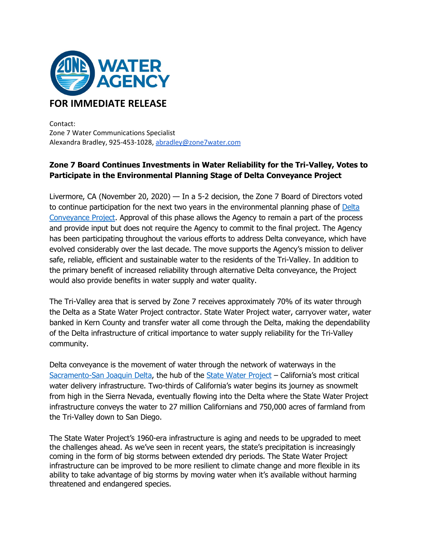

Contact: Zone 7 Water Communications Specialist Alexandra Bradley, 925-453-1028, [abradley@zone7water.com](mailto:abradley@zone7water.com)

## **Zone 7 Board Continues Investments in Water Reliability for the Tri-Valley, Votes to Participate in the Environmental Planning Stage of Delta Conveyance Project**

Livermore, CA (November 20, 2020) — In a 5-2 decision, the Zone 7 Board of Directors voted to continue participation for the next two years in the environmental planning phase of [Delta](https://water.ca.gov/deltaconveyance)  [Conveyance Project.](https://water.ca.gov/deltaconveyance) Approval of this phase allows the Agency to remain a part of the process and provide input but does not require the Agency to commit to the final project. The Agency has been participating throughout the various efforts to address Delta conveyance, which have evolved considerably over the last decade. The move supports the Agency's mission to deliver safe, reliable, efficient and sustainable water to the residents of the Tri-Valley. In addition to the primary benefit of increased reliability through alternative Delta conveyance, the Project would also provide benefits in water supply and water quality.

The Tri-Valley area that is served by Zone 7 receives approximately 70% of its water through the Delta as a State Water Project contractor. State Water Project water, carryover water, water banked in Kern County and transfer water all come through the Delta, making the dependability of the Delta infrastructure of critical importance to water supply reliability for the Tri-Valley community.

Delta conveyance is the movement of water through the network of waterways in the [Sacramento-San Joaquin Delta,](https://water.ca.gov/Water-Basics/The-Delta) the hub of the [State Water Project](https://water.ca.gov/Programs/State-Water-Project) – California's most critical water delivery infrastructure. Two-thirds of California's water begins its journey as snowmelt from high in the Sierra Nevada, eventually flowing into the Delta where the State Water Project infrastructure conveys the water to 27 million Californians and 750,000 acres of farmland from the Tri-Valley down to San Diego.

The State Water Project's 1960-era infrastructure is aging and needs to be upgraded to meet the challenges ahead. As we've seen in recent years, the state's precipitation is increasingly coming in the form of big storms between extended dry periods. The State Water Project infrastructure can be improved to be more resilient to climate change and more flexible in its ability to take advantage of big storms by moving water when it's available without harming threatened and endangered species.